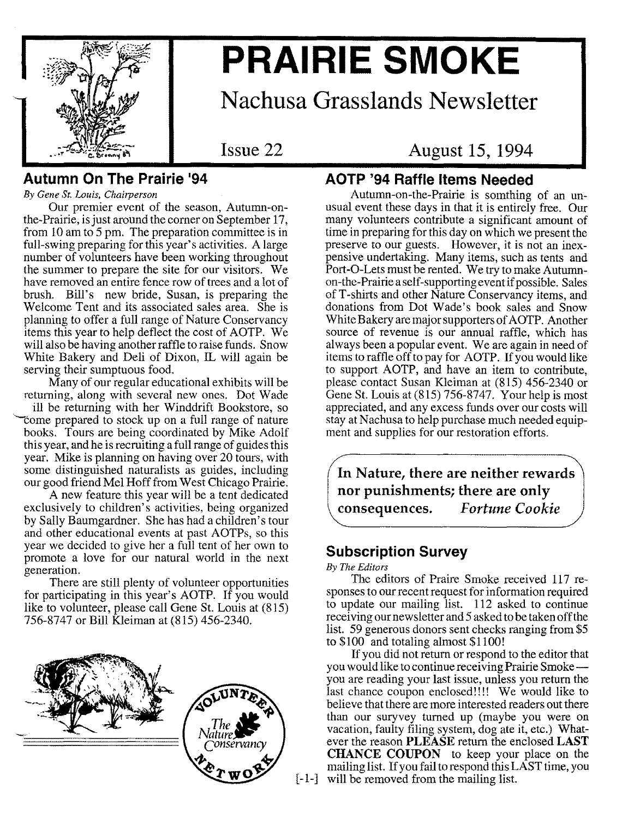

# **PRAIRIE SMOKE**

## **Nachusa Grasslands Newsletter**

**Issue 22**

**August 15, 1994**

#### **Autumn On The Prairie 194**

*By Gene St. Louis, Chairperson*

Our premier event of the season, Autumn-onthe-Prairie, isjust around the corner on September 17, from lOam to 5 pm. The preparation committee is in full-swing preparing for this year's activities. A large number of volunteers have been working throughout the summer to prepare the site for our visitors. We have removed an entire fence row of trees and a lot of brush. Bill's new bride, Susan, is preparing the Welcome Tent and its associated sales area. She is planning to offer a full range of Nature Conservancy items this year to help deflect the cost of AOTP. We will also be having another raffle to raise funds. Snow White Bakery and Deli of Dixon, IL will again be serving their sumptuous food.

Many of our regular educational exhibits will be returning, along with several new ones. Dot Wade

ill be returning with her Winddrift Bookstore, so 'Come prepared to stock up on a full range of nature books. Tours are being coordinated by Mike Adolf this year, and he is recruiting a full range of guides this year. Mike is planning on having over 20 tours, with some distinguished naturalists as guides, including our good friend Mel Hoff from West Chicago Prairie.

A new feature this year will be a tent dedicated exclusively to children's activities, being organized by Sally Baumgardner. She has had a children's tour and other educational events at past AOTPs, so this year we decided to give her a full tent of her own to promote a love for our natural world in the next generation.

There are still plenty of volunteer opportunities for participating in this year's AOTP. If you would like to volunteer, please call Gene St. Louis at (815) 756-8747 or Bill Kleiman at (815) 456-2340.



#### **AOTP '94 Raffle Items Needed**

Autumn-on-the-Prairie is somthing of an unusual event these days in that it is entirely free. Our many volunteers contribute a significant amount of time in preparing for this day on which we present the preserve to our guests. However, it is not an inexpensive undertaking. Many items, such as tents and Port-O-Lets must be rented. We try to make Autumnon-the- Prairie a self-supporting event if possible. Sales of T-shirts and other Nature Conservancy items, and donations from Dot Wade's book sales and Snow White Bakery are major supporters of AOTP. Another source of revenue is our annual raffle, which has always been a popular event. We are again in need of items to raffle off to pay for AOTP. If you would like to support AOTP, and have an item to contribute, please contact Susan Kleiman at (815) 456-2340 or Gene St. Louis at (815) 756-8747. Your help is most appreciated, and any excess funds over our costs will stay at Nachusa to help purchase much needed equipment and supplies for our restoration efforts.

**In Nature, there are neither rewards nor punishments; there are only consequences.** *Fortune Cookie*

#### **Subscription Survey**

*By The Editors*

The editors of Praire Smoke received 117 responses to our recent request for information required to update our mailing list. 112 asked to continue receiving our newsletter and 5 asked to be taken off the list. 59 generous donors sent checks ranging from \$5 to \$100 and totaling almost \$1100!

[-1-] will be removed from the mailing list.If you did not return or respond to the editor that you would like to continue receiving Prairie Smokeyou are reading your last issue, unless you return the last chance coupon enclosed!!!! We would like to believe that there are more interested readers out there than our suryvey turned up (maybe you were on vacation, faulty filing system, dog ate it, etc.) Whatever the reason **PLEASE** return the enclosed **LAST CHANCE COUPON** to keep your place on the mailing list. If you fail to respond this LAST time, you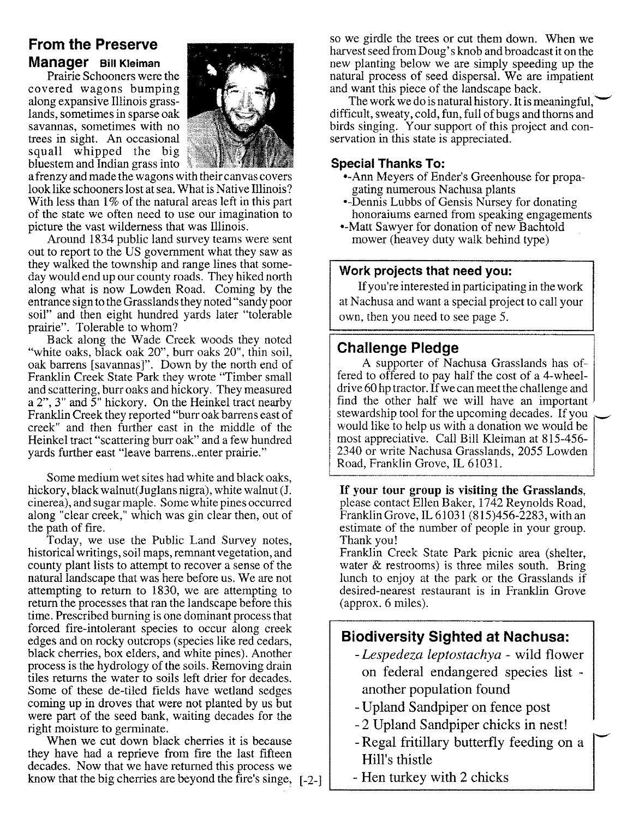### **From the Preserve Manager Bill Kleiman**

Prairie Schooners were the covered wagons bumping along expansive Illinois grasslands, sometimes in sparse oak savannas, sometimes with no trees in sight. An occasional squall whipped the big bluestem and Indian grass into



a frenzy and made the wagons with their canvas covers look like schooners lost at sea. What is Native Illinois? With less than 1% of the natural areas left in this part of the state we often need to use our imagination to picture the vast wilderness that was Illinois.

Around 1834 public land survey teams were sent out to report to the US government what they saw as they walked the township and range lines that someday would end up our county roads. They hiked north along what is now Lowden Road. Coming by the entrance sign to the Grasslands they noted "sandy poor soil" and then eight hundred yards later "tolerable prairie". Tolerable to whom?

Back along the Wade Creek woods they noted "white oaks, black oak 20", burr oaks 20", thin soil, oak barrens [savannas]". Down by the north end of Franklin Creek State Park they wrote "Timber small and scattering, burr oaks and hickory. They measured a 2",3" and 5" hickory. On the Heinkel tract nearby Franklin Creek they reported "burr oak barrens east of creek" and then further east in the middle of the Heinkel tract "scattering burr oak" and a few hundred yards further east "leave barrens ..enter prairie."

Some medium wet sites had white and black oaks, hickory, black walnut (Juglans nigra), white walnut (J. cinerea), and sugar maple. Some white pines occurred along "clear creek," which was gin clear then, out of the path of fire.

Today, we use the Public Land Survey notes, historical writings, soil maps, remnant vegetation, and county plant lists to attempt to recover a sense of the natural landscape that was here before us. We are not attempting to return to 1830, we are attempting to return the processes that ran the landscape before this time. Prescribed burning is one dominant process that forced fire-intolerant species to occur along creek edges and on rocky outcrops (species like red cedars, black cherries, box elders, and white pines). Another process is the hydrology of the soils. Removing drain tiles returns the water to soils left drier for decades. Some of these de-tiled fields have wetland sedges coming up in droves that were not planted by us but were part of the seed bank, waiting decades for the right moisture to germinate.

When we cut down black cherries it is because they have had a reprieve from fire the last fifteen decades. Now that we have returned this process we know that the big cherries are beyond the fire's singe, [-2-]

so we girdle the trees or cut them down. When we harvest seed from Doug's knob and broadcast it on the new planting below we are simply speeding up the natural process of seed dispersal. We are impatient and want this piece of the landscape back.

The work we do is natural history. It is meaningful, difficult, sweaty, cold, fun, full of bugs and thorns and birds singing. Your support of this project and conservation in this state is appreciated.

#### **Special Thanks To:**

- •-Ann Meyers of Ender's Greenhouse for propagating numerous Nachusa plants
- Dennis Lubbs of Gensis Nursey for donating honoraiums earned from speaking engagements
- •-Matt Sawyer for donation of new Bachtold mower (heavey duty walk behind type)

#### **Work projects that need you:**

If you're interested in participating in the work at Nachusa and want a special project to call your own, then you need to see page 5.

#### **Challenge Pledge**

A supporter of Nachusa Grasslands has offered to offered to pay half the cost of a 4-wheeldrive 60 hp tractor. If we can meet the challenge and find the other half we will have an important stewardship tool for the upcoming decades. If you would like to help us with a donation we would be most appreciative. Call Bill Kleiman at 815-456- 2340 or write Nachusa Grasslands, 2055 Lowden Road, Franklin Grove, IL 61031.

If your tour group is visiting the Grasslands, please contact Ellen Baker, 1742 Reynolds Road, Franklin Grove, IL 61031 (815)456-2283, with an estimate of the number of people in your group. Thank you!

Franklin Creek State Park picnic area (shelter, water  $\&$  restrooms) is three miles south. Bring lunch to enjoy at the park or the Grasslands if desired-nearest restaurant is in Franklin Grove (approx. 6 miles).

#### **Biodiversity Sighted at Nachusa:**

- *- Lespedeza leptostachya -* wild flower on federal endangered species list another population found
- Upland Sandpiper on fence post
- 2 Upland Sandpiper chicks in nest!
- -Regal fritillary butterfly feeding on a Hill's thistle

-

- Hen turkey with 2 chicks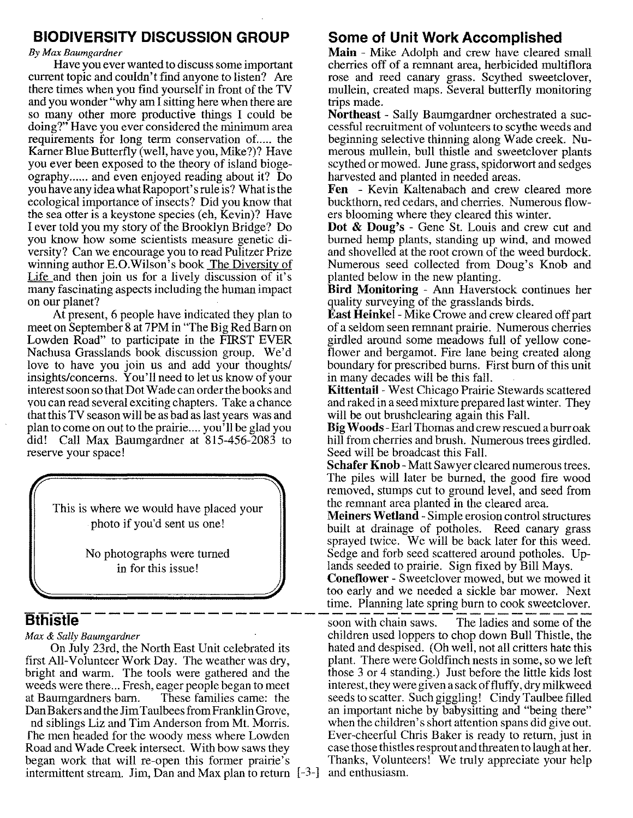#### **BIODIVERSITY DISCUSSION GROUP**

#### *By Max Baumgardner*

Have you ever wanted to discuss some important current topic and couldn't find anyone to listen? Are there times when you find yourself in front of the TV and you wonder "why am I sitting here when there are so many other more productive things I could be doing?" Have you ever considered the minimum area requirements for long term conservation of..... the Kamer Blue Butterfly (well, have you, Mike?)? Have you ever been exposed to the theory of island biogeography...... and even enjoyed reading about it? Do you have any idea what Rapoport's rule is? What isthe ecological importance of insects? Did you know that the sea otter is a keystone species (eh, Kevin)? Have I ever told you my story of the Brooklyn Bridge? Do you know how some scientists measure genetic diversity? Can we encourage you to read Pulitzer Prize winning author E.O.Wilson's book The Diversity of Life and then join us for a lively discussion of it's many fascinating aspects including the human impact on our planet?

At present, 6 people have indicated they plan to meet on September 8 at 7PM in "The Big Red Barn on Lowden Road" to participate in the FIRST EVER Nachusa Grasslands book discussion group. We'd love to have you join us and add your thoughts/ insights/concerns. You'll need to let us know of your interest soon so that Dot Wade can order the books and you can read several exciting chapters. Take a chance that this TV season will be as bad as last years was and plan to come on out to the prairie .... you'll be glad you did! Call Max Baumgardner at 815-456-2083 to reserve your space!

This is where we would have placed your photo if you'd sent us one!

> No photographs were turned in for this issue!

first All-Volunteer Work Day. The weather was dry, bright and warm. The tools were gathered and the those 3 or 4 standing.) Just before the little kids lost weeds were there... Fresh, eager people began to meet interest, they were given a sack of fluffy, dry milkweed at Baumgardners barn. These families came: the seeds to scatter. Such giggling! Cindy Taulbee filled Dan Bakers and the Jim Taulbees from Franklin Grove, an important niche by babysitting and "being there" nd siblings Liz and Tim Anderson from Mt. Morris. when the children's short attention spans did give out. fhe men headed for the woody mess where Lowden Ever-cheerful Chris Baker is ready to return, just in Road and Wade Creek intersect. With bow saws they case those thistles resprout and threaten to laugh at her. began work that will re-open this former prairie's Thanks, Volunteers! We truly appreciate your help intermittent stream. Jim, Dan and Max plan to return  $[-3-]$  and enthusiasm.

#### **Some of Unit Work Accomplished**

**Main -** Mike Adolph and crew have cleared small cherries off of a remnant area, herbicided multiflora rose and reed canary grass. Scythed sweetclover, mullein, created maps. Several butterfly monitoring trips made.

**Northeast -** Sally Baumgardner orchestrated a successful recruitment of volunteers to scythe weeds and beginning selective thinning along Wade creek. Numerous mullein, bull thistle and sweetclover plants scythed or mowed. June grass, spidorwort and sedges harvested and planted in needed areas.

**Fen -** Kevin Kaltenabach and crew cleared more buckthorn, red cedars, and cherries. Numerous flowers blooming where they cleared this winter.

**Dot & Doug's -** Gene St. Louis and crew cut and burned hemp plants, standing up wind, and mowed and shovelled at the root crown of the weed burdock. Numerous seed collected from Doug's Knob and planted below in the new planting.

**Bird Monitoring -** Ann Haverstock continues her quality surveying of the grasslands birds.

**East Heinkel -** Mike Crowe and crew cleared off part of a seldom seen remnant prairie. Numerous cherries girdled around some meadows full of yellow coneflower and bergamot. Fire lane being created along boundary for prescribed burns. First burn of this unit in many decades will be this fall.

**Kittentail -** West Chicago Prairie Stewards scattered and raked in a seed mixture prepared last winter. They will be out brushclearing again this Fall.

**Big Woods -**Earl Thomas and crew rescued a burr oak hill from cherries and brush. Numerous trees girdled. Seed will be broadcast this Fall.

**Schafer Knob -** Matt Sawyer cleared numerous trees. The piles will later be burned, the good fire wood removed, stumps cut to ground level, and seed from the remnant area planted in the cleared area.

**Meiners Wetland -** Simple erosion control structures built at drainage of potholes. Reed canary grass sprayed twice. We will be back later for this weed. Sedge and forb seed scattered around potholes. Uplands seeded to prairie. Sign fixed by Bill Mays.

**Coneflower -** Sweetclover mowed, but we mowed it too early and we needed a sickle bar mower. Next time. Planning late spring burn to cook sweetclover.

**Bthistle**  $\frac{1}{2}$  **-**  $\frac{1}{2}$  **-**  $\frac{1}{2}$  **-**  $\frac{1}{2}$  **-**  $\frac{1}{2}$  **-**  $\frac{1}{2}$  **-**  $\frac{1}{2}$  **-**  $\frac{1}{2}$  **-**  $\frac{1}{2}$  **-**  $\frac{1}{2}$  **-**  $\frac{1}{2}$  **-**  $\frac{1}{2}$  **-**  $\frac{1}{2}$  **-**  $\frac{1}{2}$  **-**  $\frac{1}{2}$  **-** *Max & Sally Baumgardner* entertainty of the children used loppers to chop down Bull Thistle, the On July 23rd, the North East Unit celebrated its hated and despised. (Oh well, not all critters hate this All-Volunteer Work Day. The weather was dry. plant. There were Goldfinch nests in some, so we left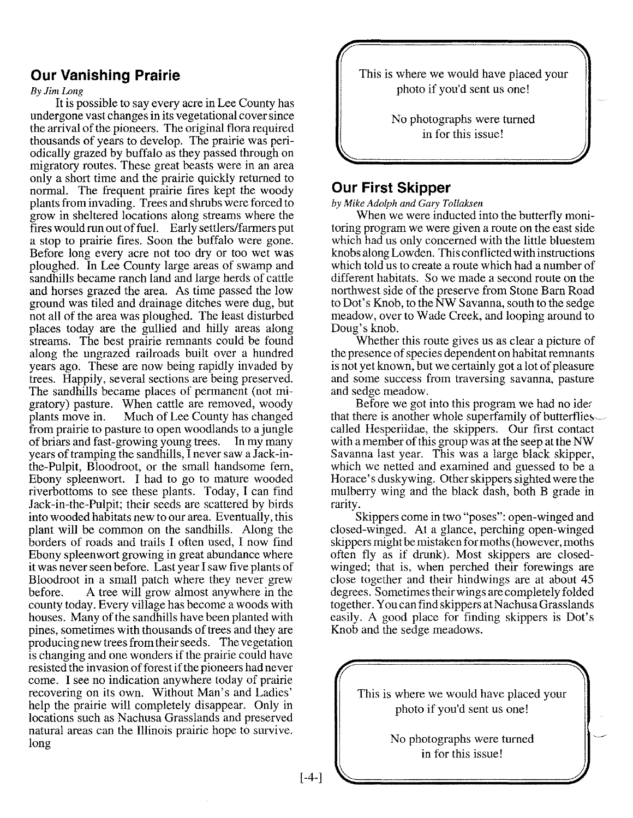#### **Our Vanishing Prairie**

#### *By Jim Long*

It is possible to say every acre in Lee County has undergone vast changes in its vegetational cover since the arrival of the pioneers. The original flora required thousands of years to develop. The prairie was periodically grazed by buffalo as they passed through on migratory routes. These great beasts were in an area only a short time and the prairie quickly returned to normal. The frequent prairie fires kept the woody plants from invading. Trees and shrubs were forced to grow in sheltered locations along streams where the fires would run out of fuel. Early settlers/farmers put a stop to prairie fires. Soon the buffalo were gone. Before long every acre not too dry or too wet was ploughed. In Lee County large areas of swamp and sandhills became ranch land and large herds of cattle and horses grazed the area. As time passed the low ground was tiled and drainage ditches were dug, but not all of the area was ploughed. The least disturbed places today are the gullied and hilly areas along streams. The best prairie remnants could be found along the ungrazed railroads built over a hundred years ago. These are now being rapidly invaded by trees. Happily, several sections are being preserved. The sandhills became places of permanent (not migratory) pasture. When cattle are removed, woody plants move in. Much of Lee County has changed from prairie to pasture to open woodlands to a jungle of briars and fast-growing young trees. In my many years of tramping the sandhills, I never saw a Jack-inthe-Pulpit, Bloodroot, or the small handsome fern, Ebony spleenwort. I had to go to mature wooded riverbottoms to see these plants. Today, I can find Jack-in-the-Pulpit; their seeds are scattered by birds into wooded habitats new to our area. Eventually, this plant will be common on the sandhills. Along the borders of roads and trails I often used, I now find Ebony spleenwort growing in great abundance where it was never seen before. Last year I saw five plants of Bloodroot in a small patch where they never grew before. A tree will grow almost anywhere in the county today. Every village has become a woods with houses. Many of the sandhills have been planted with pines, sometimes with thousands of trees and they are producing new trees from their seeds. The vegetation is changing and one wonders if the prairie could have resisted the invasion of forest if the pioneers had never come. I see no indication anywhere today of prairie recovering on its own. Without Man's and Ladies' help the prairie will completely disappear. Only in locations such as Nachusa Grasslands and preserved natural areas can the Illinois prairie hope to survive. long

This is where we would have placed your photo if you'd sent us one!

> No photographs were turned in for this issue!

#### **Our First Skipper**

*by Mike Adolph and Gary Tollaksen*

When we were inducted into the butterfly monitoring program we were given a route on the east side which had us only concerned with the little bluestem knobs along Lowden. This conflicted with instructions which told us to create a route which had a number of different habitats. So we made a second route on the northwest side of the preserve from Stone Barn Road to Dot's Knob, to the NW Savanna, south to the sedge meadow, over to Wade Creek, and looping around to Doug's knob.

Whether this route gives us as clear a picture of the presence of species dependent on habitat remnants is not yet known, but we certainly got a lot of pleasure and some success from traversing savanna, pasture and sedge meadow.

Before we got into this program we had no ider that there is another whole superfamily of butterflies called Hesperiidae, the skippers. Our first contact with a member of this group was at the seep at the NW Savanna last year. This was a large black skipper, which we netted and examined and guessed to be a Horace's duskywing. Other skippers sighted were the mulberry wing and the black dash, both B grade in rarity.

Skippers come in two "poses": open-winged and closed-winged. At a glance, perching open-winged skippers might be mistaken for moths (however, moths often fly as if drunk). Most skippers are closedwinged; that is, when perched their forewings are close together and their hindwings are at about 45 degrees. Sometimes their wings are completely folded together. You can find skippers at Nachusa Grasslands easily. A good place for finding skippers is Dot's Knob and the sedge meadows.

> This is where we would have placed your photo if you'd sent us one!

> > No photographs were turned in for this issue!

[-4-]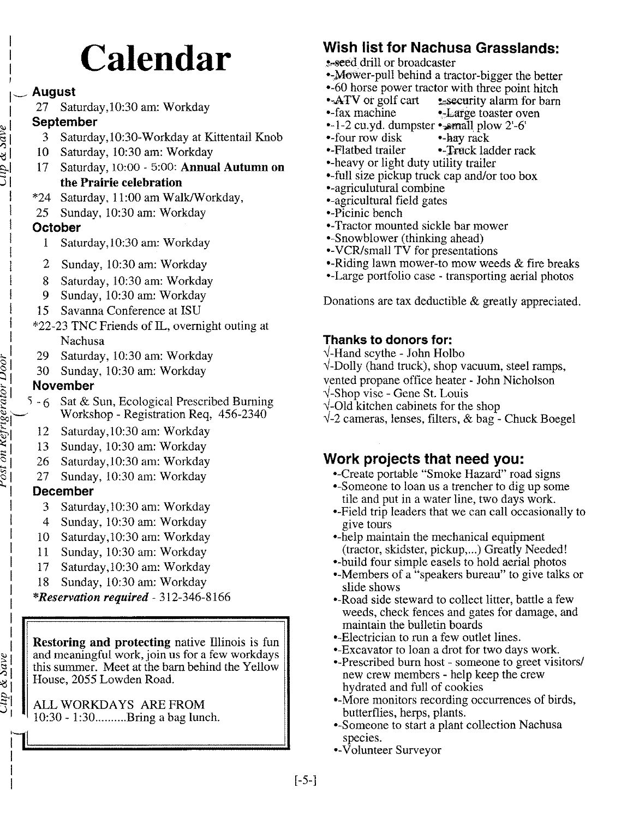## **Calendar**

#### <sup>1</sup> **August**

,

 $\omega$  dipersion dive

<u>ig</u>

t>1  $\frac{1}{2}$  $\overline{c}$  $r$ os

 $\frac{2\mu p}{\sigma} \propto 3a \nu e$ 

27 Saturday, 10:30 am: Workday

#### <sup>~</sup> <sup>1</sup> **September**

- 3 Saturday, 10:30-Workday at Kittentail Knob
- 10 Saturday, 10:30 am: Workday
- §- 17 Saturday, 10:00 5:00: Annual Autumn on the Prairie celebration
- \*24 Saturday, 11:00 am WalkIW orkday,
- 25 Sunday, 10:30 am: Workday

#### **October**

- 1 Saturday, 10:30 am: Workday
- 2 Sunday, 10:30 am: Workday
- 8 Saturday, 10:30 am: Workday
- 9 Sunday, 10:30 am: Workday
- 15 Savanna Conference at ISU
- \*22-23 TNC Friends of IL, overnight outing at Nachusa
- i:3 29 Saturday, 10:30 am: Workday
- ~ 30 Sunday, 10:30 am: Workday

#### s; **November**

- $\ddot{\Xi}$  5 6 Sat & Sun, Ecological Prescribed Burning  $\sum_{i=1}^{n}$ Workshop - Registration Req, 456-2340
	- 12 Saturday, 10:30 am: Workday
	- 13 Sunday, 10:30 am: Workday
	- 26 Saturday, 10:30 am: Workday
	- 27 Sunday, 10:30 am: Workday

#### **December**

- 3 Saturday, 10:30 am: Workday
- 4 Sunday, 10:30 am: Workday
- 10 Saturday, 10:30 am: Workday
- 11 Sunday, 10:30 am: Workday
- 17 Saturday, 10:30 am: Workday
- 18 Sunday, 10:30 am: Workday

#### *\*Reservation required -* 312-346-8166

Restoring and protecting native Illinois is fun and meaningful work, join us for a few workdays this summer. Meet at the barn behind the Yellow House, 2055 Lowden Road.

#### ALL WORKDAYS ARE FROM  $10:30 - 1:30$ .........Bring a bag lunch.

## **Wish list for Nachusa Grasslands:**

- s-seed drill or broadcaster
- •-Mower-pull behind a tractor-bigger the better
- ·-60 horse power tractor with three point hitch
- •-ATV or golf cart resecurity alarm for barn •-fax machine •-Large toaster oven
- 
- $\cdot$ -1-2 cu.yd. dumpster  $\cdot$  small plow 2'-6'
- •-four row disk •-hay rack
- •-Flatbed trailer •-Truck ladder rack
- ·-heavy or light duty utility trailer
- --full size pickup truck cap and/or too box
- ·-agriculutural combine
- ·-agricultural field gates
- ·-Picinic bench
- .-Tractor mounted sickle bar mower
- ·-Snowblower (thinking ahead)
- .-VCR/small TV for presentations
- ·-Riding lawn mower-to mow weeds & fire breaks
- ·-Large portfolio case transporting aerial photos

Donations are tax deductible & greatly appreciated.

#### **Thanks to donors for:**

- $\sqrt{\ }$ -Hand scythe John Holbo
- $\sqrt{-1}$ -Dolly (hand truck), shop vacuum, steel ramps,
- vented propane office heater John Nicholson
- $\sqrt{\text{-} \text{Shop}}$  vise Gene St. Louis
- $\sqrt{\text{-}Old}$  kitchen cabinets for the shop
- $\sqrt{-2}$  cameras, lenses, filters, & bag Chuck Boegel

### **Work projects that need yOU:**

- ·-Create portable "Smoke Hazard" road signs
- ·-Someone to loan us a trencher to dig up some tile and put in a water line, two days work.
- •-Field trip leaders that we can call occasionally to give tours
- ·-help maintain the mechanical equipment (tractor, skidster, pickup,...) Greatly Needed!
- ·-build four simple easels to hold aerial photos
- ·-Members of a "speakers bureau" to give talks or slide shows
- ·-Road side steward to collect litter, battle a few weeds, check fences and gates for damage, and maintain the bulletin boards
- ·-Electrician to run a few outlet lines.
- ·-Excavator to loan a drot for two days work.
- ·-Prescribed burn host someone to greet visitors/ new crew members - help keep the crew hydrated and full of cookies
- .-More monitors recording occurrences of birds, butterflies, herps, plants.
- ·-Someone to start a plant collection Nachusa species.
- •-Volunteer Surveyor